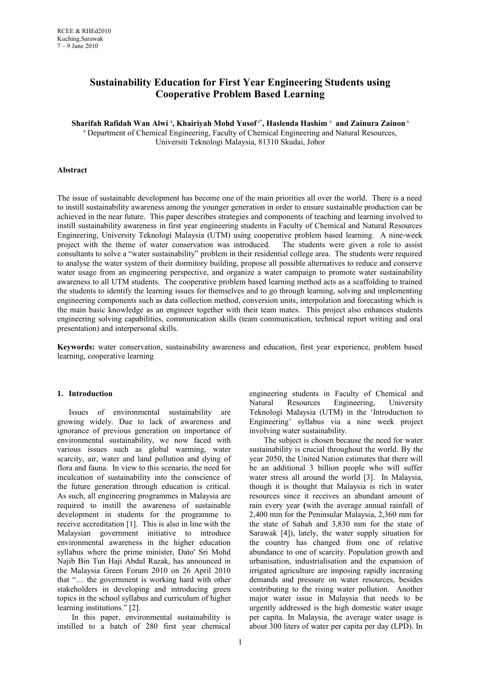# **Sustainability Education for First Year Engineering Students using Cooperative Problem Based Learning**

**Sharifah Rafidah Wan Alwi** <sup>a</sup> **, Khairiyah Mohd Yusof** a\***, Haslenda Hashim** <sup>a</sup>  **and Zainura Zainon**<sup>a</sup>

a Department of Chemical Engineering, Faculty of Chemical Engineering and Natural Resources, Universiti Teknologi Malaysia, 81310 Skudai, Johor

## **Abstract**

The issue of sustainable development has become one of the main priorities all over the world. There is a need to instill sustainability awareness among the younger generation in order to ensure sustainable production can be achieved in the near future. This paper describes strategies and components of teaching and learning involved to instill sustainability awareness in first year engineering students in Faculty of Chemical and Natural Resources Engineering, University Teknologi Malaysia (UTM) using cooperative problem based learning. A nine-week project with the theme of water conservation was introduced. The students were given a role to assist consultants to solve a "water sustainability" problem in their residential college area. The students were required to analyse the water system of their dormitory building, propose all possible alternatives to reduce and conserve water usage from an engineering perspective, and organize a water campaign to promote water sustainability awareness to all UTM students. The cooperative problem based learning method acts as a scaffolding to trained the students to identify the learning issues for themselves and to go through learning, solving and implementing engineering components such as data collection method, conversion units, interpolation and forecasting which is the main basic knowledge as an engineer together with their team mates. This project also enhances students engineering solving capabilities, communication skills (team communication, technical report writing and oral presentation) and interpersonal skills.

**Keywords:** water conservation, sustainability awareness and education, first year experience, problem based learning, cooperative learning

#### **1. Introduction**

Issues of environmental sustainability are growing widely. Due to lack of awareness and ignorance of previous generation on importance of environmental sustainability, we now faced with various issues such as global warming, water scarcity, air, water and land pollution and dying of flora and fauna. In view to this scenario, the need for inculcation of sustainability into the conscience of the future generation through education is critical. As such, all engineering programmes in Malaysia are required to instill the awareness of sustainable development in students for the programme to receive accreditation [1]. This is also in line with the Malaysian government initiative to introduce environmental awareness in the higher education syllabus where the prime minister, Dato' Sri Mohd Najib Bin Tun Haji Abdul Razak, has announced in the Malaysia Green Forum 2010 on 26 April 2010 that "… the government is working hard with other stakeholders in developing and introducing green topics in the school syllabus and curriculum of higher learning institutions." [2].

In this paper, environmental sustainability is instilled to a batch of 280 first year chemical

engineering students in Faculty of Chemical and Natural Resources Engineering, University Teknologi Malaysia (UTM) in the 'Introduction to Engineering' syllabus via a nine week project involving water sustainability.

The subject is chosen because the need for water sustainability is crucial throughout the world. By the year 2050, the United Nation estimates that there will be an additional 3 billion people who will suffer water stress all around the world [3]. In Malaysia, though it is thought that Malaysia is rich in water resources since it receives an abundant amount of rain every year **(**with the average annual rainfall of 2,400 mm for the Peninsular Malaysia, 2,360 mm for the state of Sabah and 3,830 mm for the state of Sarawak [4]), lately, the water supply situation for the country has changed from one of relative abundance to one of scarcity. Population growth and urbanisation, industrialisation and the expansion of irrigated agriculture are imposing rapidly increasing demands and pressure on water resources, besides contributing to the rising water pollution. Another major water issue in Malaysia that needs to be urgently addressed is the high domestic water usage per capita. In Malaysia, the average water usage is about 300 liters of water per capita per day (LPD). In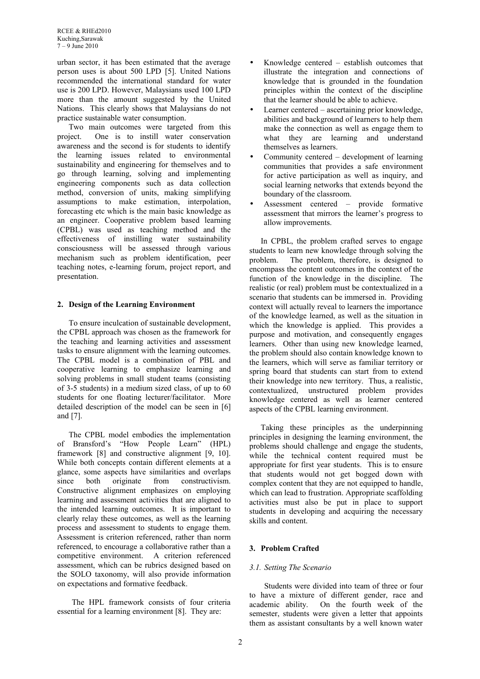urban sector, it has been estimated that the average person uses is about 500 LPD [5]. United Nations recommended the international standard for water use is 200 LPD. However, Malaysians used 100 LPD more than the amount suggested by the United Nations. This clearly shows that Malaysians do not practice sustainable water consumption.

Two main outcomes were targeted from this project. One is to instill water conservation awareness and the second is for students to identify the learning issues related to environmental sustainability and engineering for themselves and to go through learning, solving and implementing engineering components such as data collection method, conversion of units, making simplifying assumptions to make estimation, interpolation, forecasting etc which is the main basic knowledge as an engineer. Cooperative problem based learning (CPBL) was used as teaching method and the effectiveness of instilling water sustainability consciousness will be assessed through various mechanism such as problem identification, peer teaching notes, e-learning forum, project report, and presentation.

## **2. Design of the Learning Environment**

To ensure inculcation of sustainable development, the CPBL approach was chosen as the framework for the teaching and learning activities and assessment tasks to ensure alignment with the learning outcomes. The CPBL model is a combination of PBL and cooperative learning to emphasize learning and solving problems in small student teams (consisting of 3-5 students) in a medium sized class, of up to 60 students for one floating lecturer/facilitator. More detailed description of the model can be seen in [6] and [7].

The CPBL model embodies the implementation of Bransford's "How People Learn" (HPL) framework [8] and constructive alignment [9, 10]. While both concepts contain different elements at a glance, some aspects have similarities and overlaps since both originate from constructivism. Constructive alignment emphasizes on employing learning and assessment activities that are aligned to the intended learning outcomes. It is important to clearly relay these outcomes, as well as the learning process and assessment to students to engage them. Assessment is criterion referenced, rather than norm referenced, to encourage a collaborative rather than a competitive environment. A criterion referenced assessment, which can be rubrics designed based on the SOLO taxonomy, will also provide information on expectations and formative feedback.

The HPL framework consists of four criteria essential for a learning environment [8]. They are:

- Knowledge centered establish outcomes that illustrate the integration and connections of knowledge that is grounded in the foundation principles within the context of the discipline that the learner should be able to achieve.
- Learner centered ascertaining prior knowledge, abilities and background of learners to help them make the connection as well as engage them to what they are learning and understand themselves as learners.
- Community centered development of learning communities that provides a safe environment for active participation as well as inquiry, and social learning networks that extends beyond the boundary of the classroom.
- Assessment centered provide formative assessment that mirrors the learner's progress to allow improvements.

In CPBL, the problem crafted serves to engage students to learn new knowledge through solving the problem. The problem, therefore, is designed to encompass the content outcomes in the context of the function of the knowledge in the discipline. The realistic (or real) problem must be contextualized in a scenario that students can be immersed in. Providing context will actually reveal to learners the importance of the knowledge learned, as well as the situation in which the knowledge is applied. This provides a purpose and motivation, and consequently engages learners. Other than using new knowledge learned, the problem should also contain knowledge known to the learners, which will serve as familiar territory or spring board that students can start from to extend their knowledge into new territory. Thus, a realistic, contextualized, unstructured problem provides knowledge centered as well as learner centered aspects of the CPBL learning environment.

Taking these principles as the underpinning principles in designing the learning environment, the problems should challenge and engage the students, while the technical content required must be appropriate for first year students. This is to ensure that students would not get bogged down with complex content that they are not equipped to handle, which can lead to frustration. Appropriate scaffolding activities must also be put in place to support students in developing and acquiring the necessary skills and content.

## **3. Problem Crafted**

## *3.1. Setting The Scenario*

Students were divided into team of three or four to have a mixture of different gender, race and academic ability. On the fourth week of the semester, students were given a letter that appoints them as assistant consultants by a well known water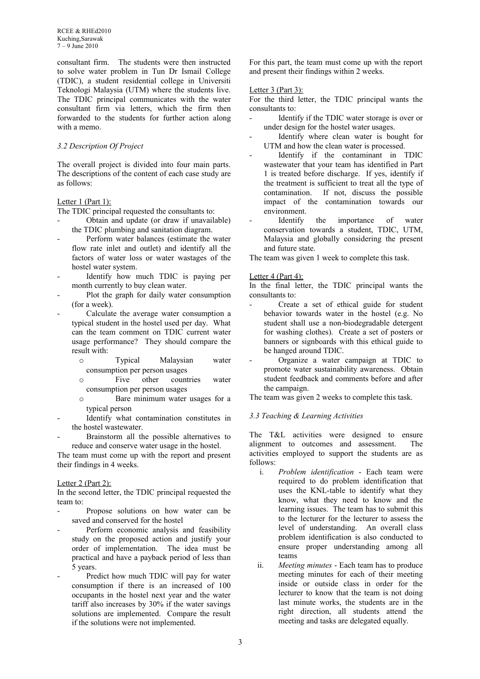RCEE & RHEd2010 Kuching,Sarawak 7 – 9 June 2010

consultant firm. The students were then instructed to solve water problem in Tun Dr Ismail College (TDIC), a student residential college in Universiti Teknologi Malaysia (UTM) where the students live. The TDIC principal communicates with the water consultant firm via letters, which the firm then forwarded to the students for further action along with a memo.

## *3.2 Description Of Project*

The overall project is divided into four main parts. The descriptions of the content of each case study are as follows:

## Letter 1 (Part 1):

The TDIC principal requested the consultants to:

- Obtain and update (or draw if unavailable) the TDIC plumbing and sanitation diagram.
- Perform water balances (estimate the water flow rate inlet and outlet) and identify all the factors of water loss or water wastages of the hostel water system.
- Identify how much TDIC is paying per month currently to buy clean water.
- Plot the graph for daily water consumption (for a week).
- Calculate the average water consumption a typical student in the hostel used per day. What can the team comment on TDIC current water usage performance? They should compare the result with:
	- o Typical Malaysian water consumption per person usages
	- o Five other countries water consumption per person usages
	- o Bare minimum water usages for a typical person
- Identify what contamination constitutes in the hostel wastewater.
- Brainstorm all the possible alternatives to reduce and conserve water usage in the hostel.

The team must come up with the report and present their findings in 4 weeks.

## Letter 2 (Part 2):

In the second letter, the TDIC principal requested the team to:

- Propose solutions on how water can be saved and conserved for the hostel
- Perform economic analysis and feasibility study on the proposed action and justify your order of implementation. The idea must be practical and have a payback period of less than 5 years.
- Predict how much TDIC will pay for water consumption if there is an increased of 100 occupants in the hostel next year and the water tariff also increases by 30% if the water savings solutions are implemented. Compare the result if the solutions were not implemented.

For this part, the team must come up with the report and present their findings within 2 weeks.

## Letter 3 (Part 3):

For the third letter, the TDIC principal wants the consultants to:

- Identify if the TDIC water storage is over or under design for the hostel water usages.
- Identify where clean water is bought for UTM and how the clean water is processed.
- Identify if the contaminant in TDIC wastewater that your team has identified in Part 1 is treated before discharge. If yes, identify if the treatment is sufficient to treat all the type of contamination. If not, discuss the possible impact of the contamination towards our environment.
- Identify the importance of water conservation towards a student, TDIC, UTM, Malaysia and globally considering the present and future state.

The team was given 1 week to complete this task.

## Letter 4 (Part 4):

In the final letter, the TDIC principal wants the consultants to:

- Create a set of ethical guide for student behavior towards water in the hostel (e.g. No student shall use a non-biodegradable detergent for washing clothes). Create a set of posters or banners or signboards with this ethical guide to be hanged around TDIC.
- Organize a water campaign at TDIC to promote water sustainability awareness. Obtain student feedback and comments before and after the campaign.

The team was given 2 weeks to complete this task.

## *3.3 Teaching & Learning Activities*

The T&L activities were designed to ensure alignment to outcomes and assessment. The activities employed to support the students are as follows:

- i. *Problem identification* Each team were required to do problem identification that uses the KNL-table to identify what they know, what they need to know and the learning issues. The team has to submit this to the lecturer for the lecturer to assess the level of understanding. An overall class problem identification is also conducted to ensure proper understanding among all teams
- ii. *Meeting minutes* Each team has to produce meeting minutes for each of their meeting inside or outside class in order for the lecturer to know that the team is not doing last minute works, the students are in the right direction, all students attend the meeting and tasks are delegated equally.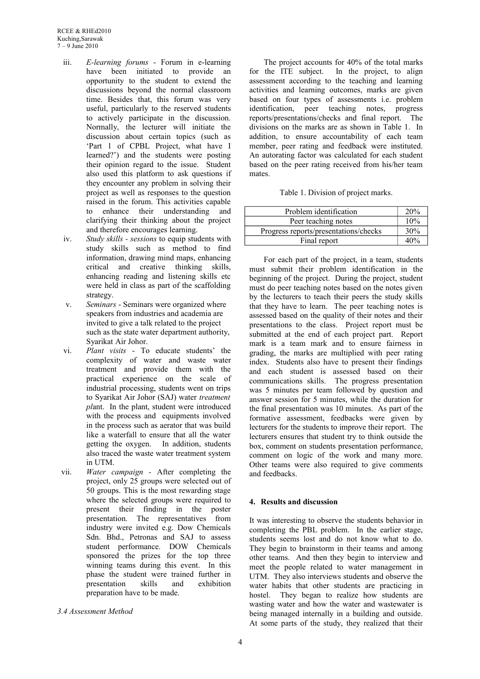RCEE & RHEd2010 Kuching,Sarawak  $7 - 9$  June 2010

- iii. *E-learning forums*  Forum in e-learning have been initiated to provide an opportunity to the student to extend the discussions beyond the normal classroom time. Besides that, this forum was very useful, particularly to the reserved students to actively participate in the discussion. Normally, the lecturer will initiate the discussion about certain topics (such as 'Part 1 of CPBL Project, what have I learned?') and the students were posting their opinion regard to the issue. Student also used this platform to ask questions if they encounter any problem in solving their project as well as responses to the question raised in the forum. This activities capable to enhance their understanding and clarifying their thinking about the project and therefore encourages learning.
- iv. *Study skills sessions* to equip students with study skills such as method to find information, drawing mind maps, enhancing critical and creative thinking skills, enhancing reading and listening skills etc were held in class as part of the scaffolding strategy.
- v. *Seminars* Seminars were organized where speakers from industries and academia are invited to give a talk related to the project such as the state water department authority, Syarikat Air Johor.
- vi. *Plant visits* To educate students' the complexity of water and waste water treatment and provide them with the practical experience on the scale of industrial processing, students went on trips to Syarikat Air Johor (SAJ) water *treatment pl*ant. In the plant, student were introduced with the process and equipments involved in the process such as aerator that was build like a waterfall to ensure that all the water getting the oxygen. In addition, students also traced the waste water treatment system in UTM.
- vii. *Water campaign* After completing the project, only 25 groups were selected out of 50 groups. This is the most rewarding stage where the selected groups were required to present their finding in the poster presentation. The representatives from industry were invited e.g. Dow Chemicals Sdn. Bhd., Petronas and SAJ to assess student performance. DOW Chemicals sponsored the prizes for the top three winning teams during this event. In this phase the student were trained further in presentation skills and exhibition preparation have to be made.
- *3.4 Assessment Method*

The project accounts for 40% of the total marks for the ITE subject. In the project, to align assessment according to the teaching and learning activities and learning outcomes, marks are given based on four types of assessments i.e. problem identification, peer teaching notes, progress reports/presentations/checks and final report. The divisions on the marks are as shown in Table 1. In addition, to ensure accountability of each team member, peer rating and feedback were instituted. An autorating factor was calculated for each student based on the peer rating received from his/her team mates.

Table 1. Division of project marks.

| Problem identification                | 20% |
|---------------------------------------|-----|
| Peer teaching notes                   | 10% |
| Progress reports/presentations/checks | 30% |
| Final report                          | 40% |

For each part of the project, in a team, students must submit their problem identification in the beginning of the project. During the project, student must do peer teaching notes based on the notes given by the lecturers to teach their peers the study skills that they have to learn. The peer teaching notes is assessed based on the quality of their notes and their presentations to the class. Project report must be submitted at the end of each project part. Report mark is a team mark and to ensure fairness in grading, the marks are multiplied with peer rating index. Students also have to present their findings and each student is assessed based on their communications skills. The progress presentation was 5 minutes per team followed by question and answer session for 5 minutes, while the duration for the final presentation was 10 minutes. As part of the formative assessment, feedbacks were given by lecturers for the students to improve their report. The lecturers ensures that student try to think outside the box, comment on students presentation performance, comment on logic of the work and many more. Other teams were also required to give comments and feedbacks.

## **4. Results and discussion**

It was interesting to observe the students behavior in completing the PBL problem. In the earlier stage, students seems lost and do not know what to do. They begin to brainstorm in their teams and among other teams. And then they begin to interview and meet the people related to water management in UTM. They also interviews students and observe the water habits that other students are practicing in hostel. They began to realize how students are wasting water and how the water and wastewater is being managed internally in a building and outside. At some parts of the study, they realized that their